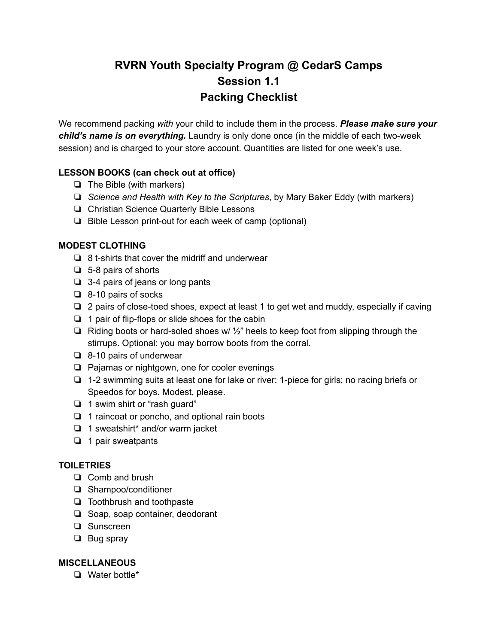# **RVRN Youth Specialty Program @ CedarS Camps Session 1.1 Packing Checklist**

We recommend packing *with* your child to include them in the process. *Please make sure your child's name is on everything.* Laundry is only done once (in the middle of each two-week session) and is charged to your store account. Quantities are listed for one week's use.

## **LESSON BOOKS (can check out at office)**

- ❏ The Bible (with markers)
- ❏ *Science and Health with Key to the Scriptures*, by Mary Baker Eddy (with markers)
- ❏ Christian Science Quarterly Bible Lessons
- ❏ Bible Lesson print-out for each week of camp (optional)

## **MODEST CLOTHING**

- ❏ 8 t-shirts that cover the midriff and underwear
- ❏ 5-8 pairs of shorts
- ❏ 3-4 pairs of jeans or long pants
- ❏ 8-10 pairs of socks
- ❏ 2 pairs of close-toed shoes, expect at least 1 to get wet and muddy, especially if caving
- ❏ 1 pair of flip-flops or slide shoes for the cabin
- ❏ Riding boots or hard-soled shoes w/ ½" heels to keep foot from slipping through the stirrups. Optional: you may borrow boots from the corral.
- ❏ 8-10 pairs of underwear
- ❏ Pajamas or nightgown, one for cooler evenings
- ❏ 1-2 swimming suits at least one for lake or river: 1-piece for girls; no racing briefs or Speedos for boys. Modest, please.
- ❏ 1 swim shirt or "rash guard"
- ❏ 1 raincoat or poncho, and optional rain boots
- ❏ 1 sweatshirt\* and/or warm jacket
- ❏ 1 pair sweatpants

#### **TOILETRIES**

- ❏ Comb and brush
- ❏ Shampoo/conditioner
- ❏ Toothbrush and toothpaste
- ❏ Soap, soap container, deodorant
- ❏ Sunscreen
- ❏ Bug spray

# **MISCELLANEOUS**

❏ Water bottle\*